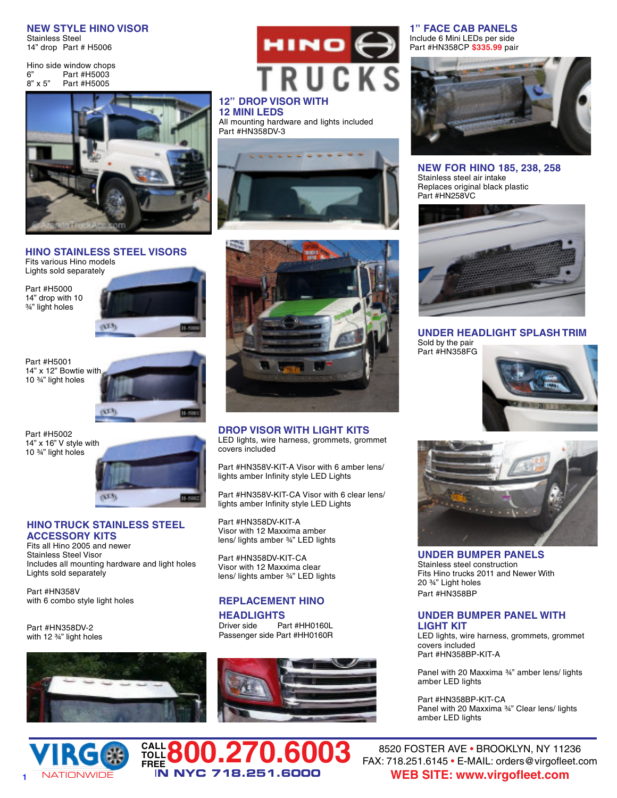**NEW STYLE HINO VISOR** Stainless Steel 14" drop Part # H5006

Hino side window chops 6" Part #H5003<br>8" x 5" Part #H5005 Part #H5005



#### **HINO STAINLESS STEEL VISORS** Fits various Hino models

Lights sold separately

Part #H5000 14" drop with 10 ¾" light holes



Part #H5001 14" x 12" Bowtie with 10 ¾" light holes



Part #H5002 14" x 16" V style with 10 ¾" light holes



#### **HINO TRUCK STAINLESS STEEL ACCESSORY KITS**

Fits all Hino 2005 and newer Stainless Steel Visor Includes all mounting hardware and light holes Lights sold separately

Part #HN358V with 6 combo style light holes

Part #HN358DV-2 with 12 ¾" light holes



**CALL TOLL**





#### **12" DROP VISOR WITH 12 MINI LEDS**

All mounting hardware and lights included Part #HN358DV-3





**DROP VISOR WITH LIGHT KITS** LED lights, wire harness, grommets, grommet covers included

Part #HN358V-KIT-A Visor with 6 amber lens/ lights amber Infinity style LED Lights

Part #HN358V-KIT-CA Visor with 6 clear lens/ lights amber Infinity style LED Lights

Part #HN358DV-KIT-A Visor with 12 Maxxima amber lens/ lights amber ¾" LED lights

Part #HN358DV-KIT-CA Visor with 12 Maxxima clear lens/ lights amber ¾" LED lights

#### **REPLACEMENT HINO**

## **HEADLIGHTS**<br>Driver side Pa

**FREE800.270.6003**

I**N NYC 718.251.6000**

Part #HH0160L Passenger side Part #HH0160R



**1" FACE CAB PANELS** Include 6 Mini LEDs per side Part #HN358CP **\$335.99** pair



**NEW FOR HINO 185, 238, 258** Stainless steel air intake Replaces original black plastic Part #HN258VC



**UNDER HEADLIGHT SPLASH TRIM** Sold by the pair Part #HN358FG





**UNDER BUMPER PANELS** Stainless steel construction Fits Hino trucks 2011 and Newer With 20 ¾" Light holes Part #HN358BP

#### **UNDER BUMPER PANEL WITH LIGHT KIT**

LED lights, wire harness, grommets, grommet covers included Part #HN358BP-KIT-A

Panel with 20 Maxxima ¾" amber lens/ lights amber LED lights

Part #HN358BP-KIT-CA Panel with 20 Maxxima ¾" Clear lens/ lights amber LED lights

## 8520 FOSTER AVE • BROOKLYN, NY 11236 FAX: 718.251.6145 • E-MAIL: orders@virgofleet.com **WEB SITE: www.virgofleet.com**